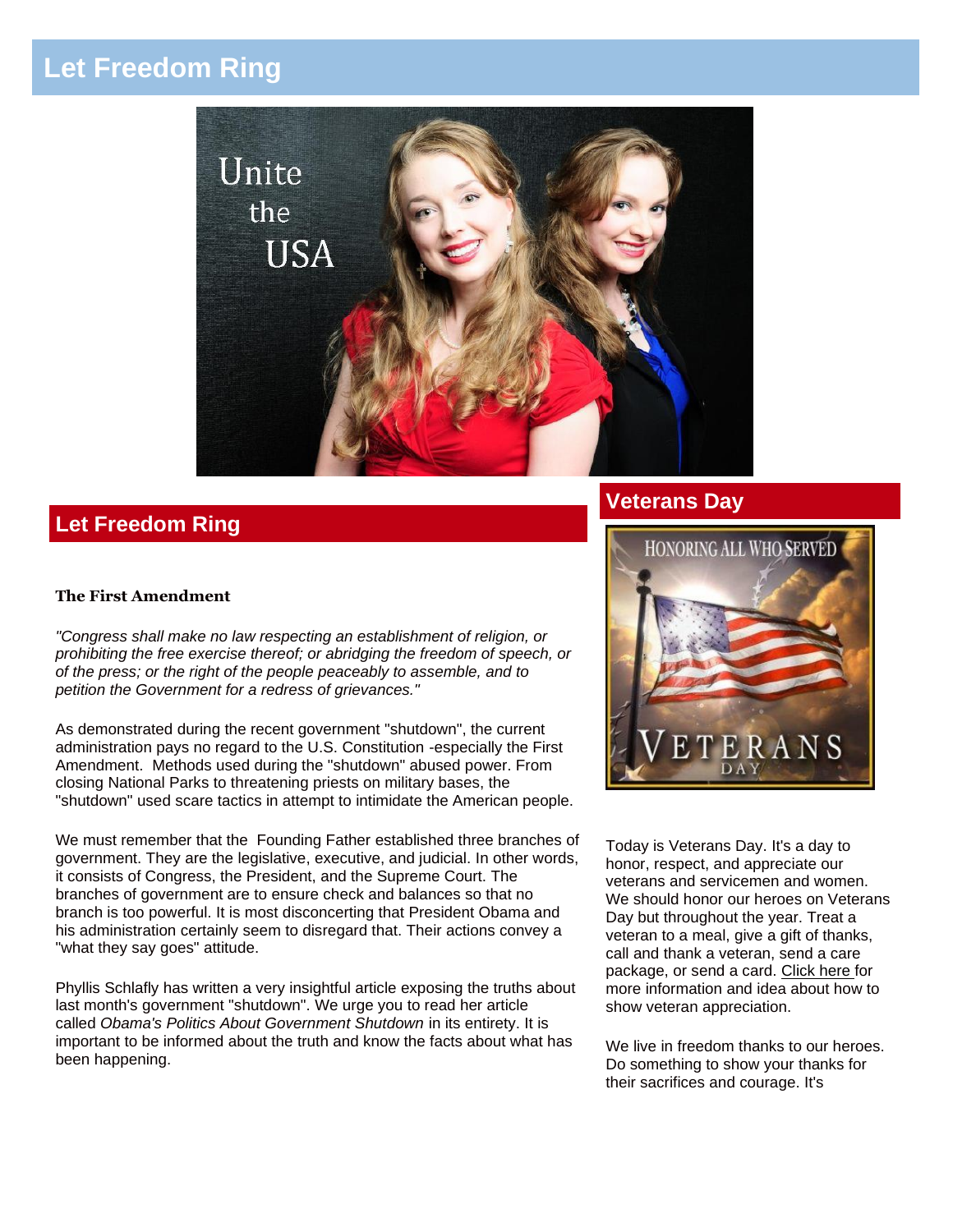# **Let Freedom Ring**



## **Let Freedom Ring**

#### **The First Amendment**

*"Congress shall make no law respecting an establishment of religion, or prohibiting the free exercise thereof; or abridging the freedom of speech, or of the press; or the right of the people peaceably to assemble, and to petition the Government for a redress of grievances."*

As demonstrated during the recent government "shutdown", the current administration pays no regard to the U.S. Constitution -especially the First Amendment. Methods used during the "shutdown" abused power. From closing National Parks to threatening priests on military bases, the "shutdown" used scare tactics in attempt to intimidate the American people.

We must remember that the Founding Father established three branches of government. They are the legislative, executive, and judicial. In other words, it consists of Congress, the President, and the Supreme Court. The branches of government are to ensure check and balances so that no branch is too powerful. It is most disconcerting that President Obama and his administration certainly seem to disregard that. Their actions convey a "what they say goes" attitude.

Phyllis Schlafly has written a very insightful article exposing the truths about last month's government "shutdown". We urge you to read her article called *Obama's Politics About Government Shutdown* in its entirety. It is important to be informed about the truth and know the facts about what has been happening.

### **Veterans Day**



Today is Veterans Day. It's a day to honor, respect, and appreciate our veterans and servicemen and women. We should honor our heroes on Veterans Day but throughout the year. Treat a veteran to a meal, give a gift of thanks, call and thank a veteran, send a care package, or send a card. [Click here](http://unitetheusa.org/id73.html) for more information and idea about how to show veteran appreciation.

We live in freedom thanks to our heroes. Do something to show your thanks for their sacrifices and courage. It's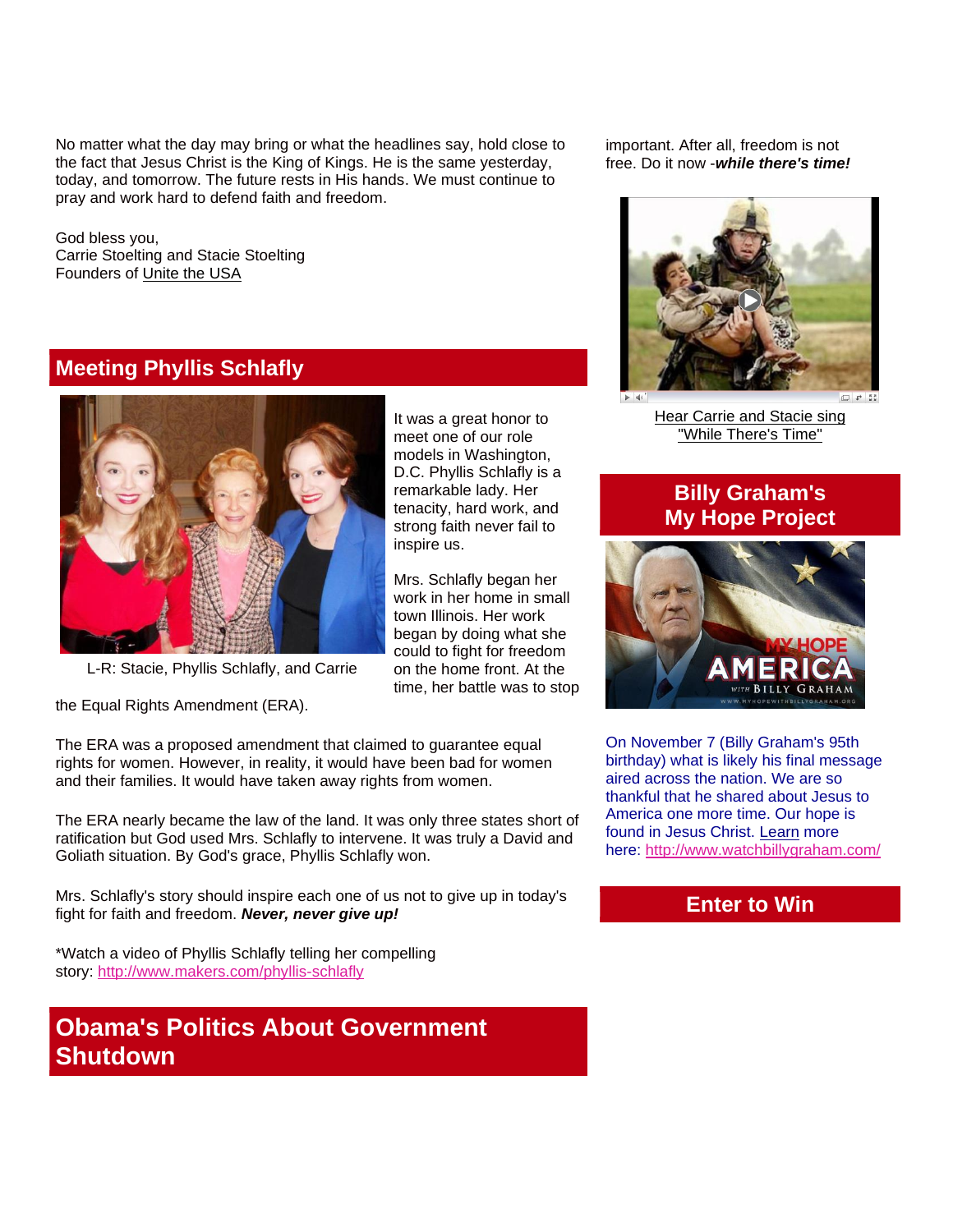No matter what the day may bring or what the headlines say, hold close to the fact that Jesus Christ is the King of Kings. He is the same yesterday, today, and tomorrow. The future rests in His hands. We must continue to pray and work hard to defend faith and freedom.

God bless you, Carrie Stoelting and Stacie Stoelting Founders of [Unite the USA](http://unitetheusa.org/index.html) 

## **Meeting Phyllis Schlafly**



L-R: Stacie, Phyllis Schlafly, and Carrie

the Equal Rights Amendment (ERA).

The ERA was a proposed amendment that claimed to guarantee equal rights for women. However, in reality, it would have been bad for women and their families. It would have taken away rights from women.

on the home front. At the time, her battle was to stop

The ERA nearly became the law of the land. It was only three states short of ratification but God used Mrs. Schlafly to intervene. It was truly a David and Goliath situation. By God's grace, Phyllis Schlafly won.

Mrs. Schlafly's story should inspire each one of us not to give up in today's fight for faith and freedom. *Never, never give up!*

\*Watch a video of Phyllis Schlafly telling her compelling story: <http://www.makers.com/phyllis-schlafly>

# **Obama's Politics About Government Shutdown**

important. After all, freedom is not free. Do it now -*while there's time!*



**[Hear Carrie and Stacie sing](http://www.youtube.com/watch?v=_080KLB-_rE&feature=relmfu)** ["While There's Time"](http://www.youtube.com/watch?v=_080KLB-_rE&feature=relmfu)

## **Billy Graham's My Hope Project**



On November 7 (Billy Graham's 95th birthday) what is likely his final message aired across the nation. We are so thankful that he shared about Jesus to America one more time. Our hope is found in Jesus Christ. [Learn](http://unitetheusa.org/id104.html) more here: [http://www.watchbillygraham.com/](http://watchbillygraham.com/)

### **Enter to Win**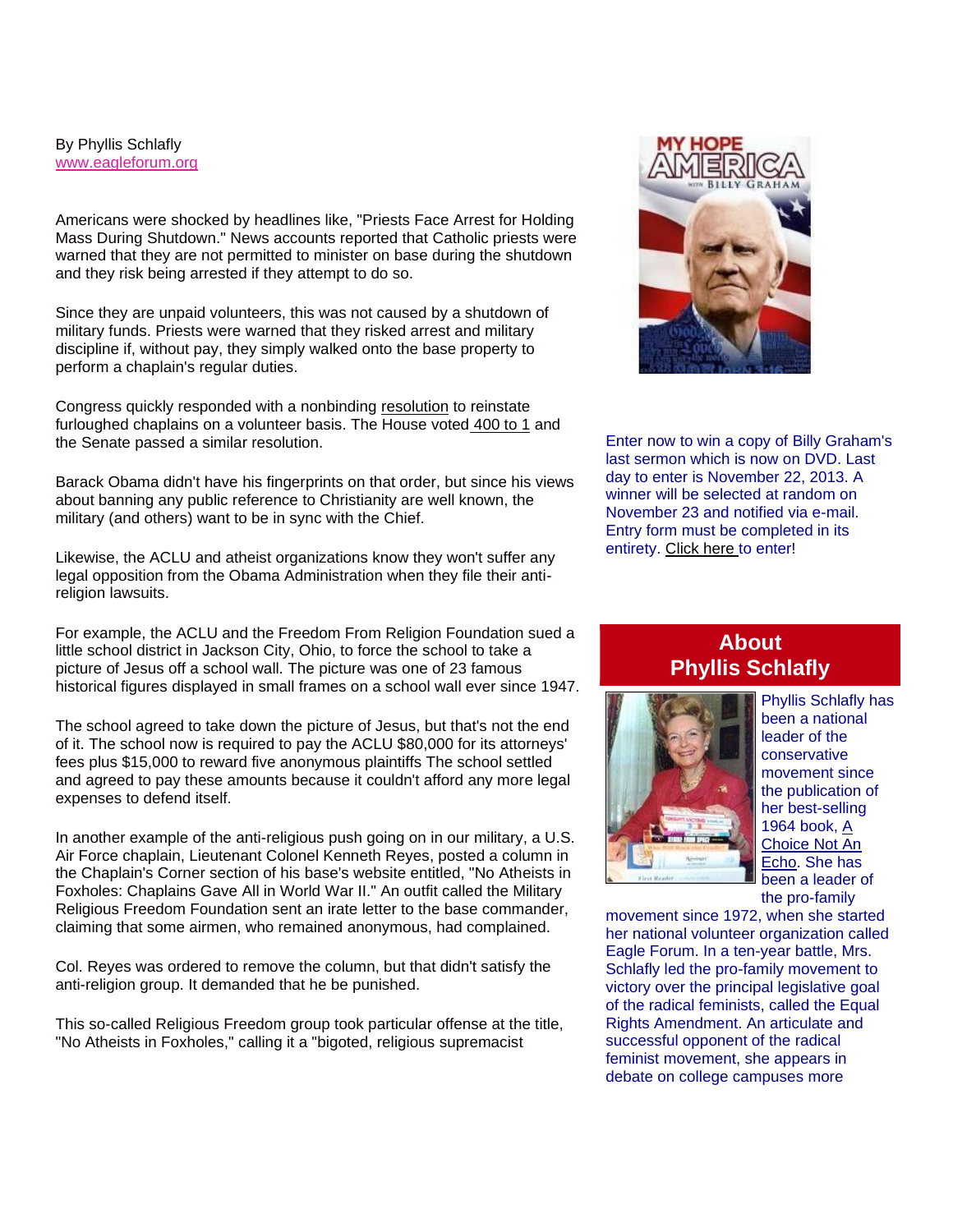#### By Phyllis Schlafly [www.eagleforum.org](http://www.eagleforum.org/)

Americans were shocked by headlines like, "Priests Face Arrest for Holding Mass During Shutdown." News accounts reported that Catholic priests were warned that they are not permitted to minister on base during the shutdown and they risk being arrested if they attempt to do so.

Since they are unpaid volunteers, this was not caused by a shutdown of military funds. Priests were warned that they risked arrest and military discipline if, without pay, they simply walked onto the base property to perform a chaplain's regular duties.

Congress quickly responded with a nonbinding [resolution](http://unitetheusa.org/id104.html) to reinstate furloughed chaplains on a volunteer basis. The House voted [400 to 1](http://unitetheusa.org/id104.html) and the Senate passed a similar resolution.

Barack Obama didn't have his fingerprints on that order, but since his views about banning any public reference to Christianity are well known, the military (and others) want to be in sync with the Chief.

Likewise, the ACLU and atheist organizations know they won't suffer any legal opposition from the Obama Administration when they file their antireligion lawsuits.

For example, the ACLU and the Freedom From Religion Foundation sued a little school district in Jackson City, Ohio, to force the school to take a picture of Jesus off a school wall. The picture was one of 23 famous historical figures displayed in small frames on a school wall ever since 1947.

The school agreed to take down the picture of Jesus, but that's not the end of it. The school now is required to pay the ACLU \$80,000 for its attorneys' fees plus \$15,000 to reward five anonymous plaintiffs The school settled and agreed to pay these amounts because it couldn't afford any more legal expenses to defend itself.

In another example of the anti-religious push going on in our military, a U.S. Air Force chaplain, Lieutenant Colonel Kenneth Reyes, posted a column in the Chaplain's Corner section of his base's website entitled, "No Atheists in Foxholes: Chaplains Gave All in World War II." An outfit called the Military Religious Freedom Foundation sent an irate letter to the base commander, claiming that some airmen, who remained anonymous, had complained.

Col. Reyes was ordered to remove the column, but that didn't satisfy the anti-religion group. It demanded that he be punished.

This so-called Religious Freedom group took particular offense at the title, "No Atheists in Foxholes," calling it a "bigoted, religious supremacist



Enter now to win a copy of Billy Graham's last sermon which is now on DVD. Last day to enter is November 22, 2013. A winner will be selected at random on November 23 and notified via e-mail. Entry form must be completed in its entirety. [Click here](http://unitetheusa.org/id94.html) to enter!

### **About Phyllis Schlafly**



Phyllis Schlafly has been a national leader of the conservative movement since the publication of her best-selling 1964 book, [A](http://unitetheusa.org/id104.html)  [Choice Not An](http://unitetheusa.org/id104.html)  [Echo.](http://unitetheusa.org/id104.html) She has been a leader of the pro-family

movement since 1972, when she started her national volunteer organization called Eagle Forum. In a ten-year battle, Mrs. Schlafly led the pro-family movement to victory over the principal legislative goal of the radical feminists, called the Equal Rights Amendment. An articulate and successful opponent of the radical feminist movement, she appears in debate on college campuses more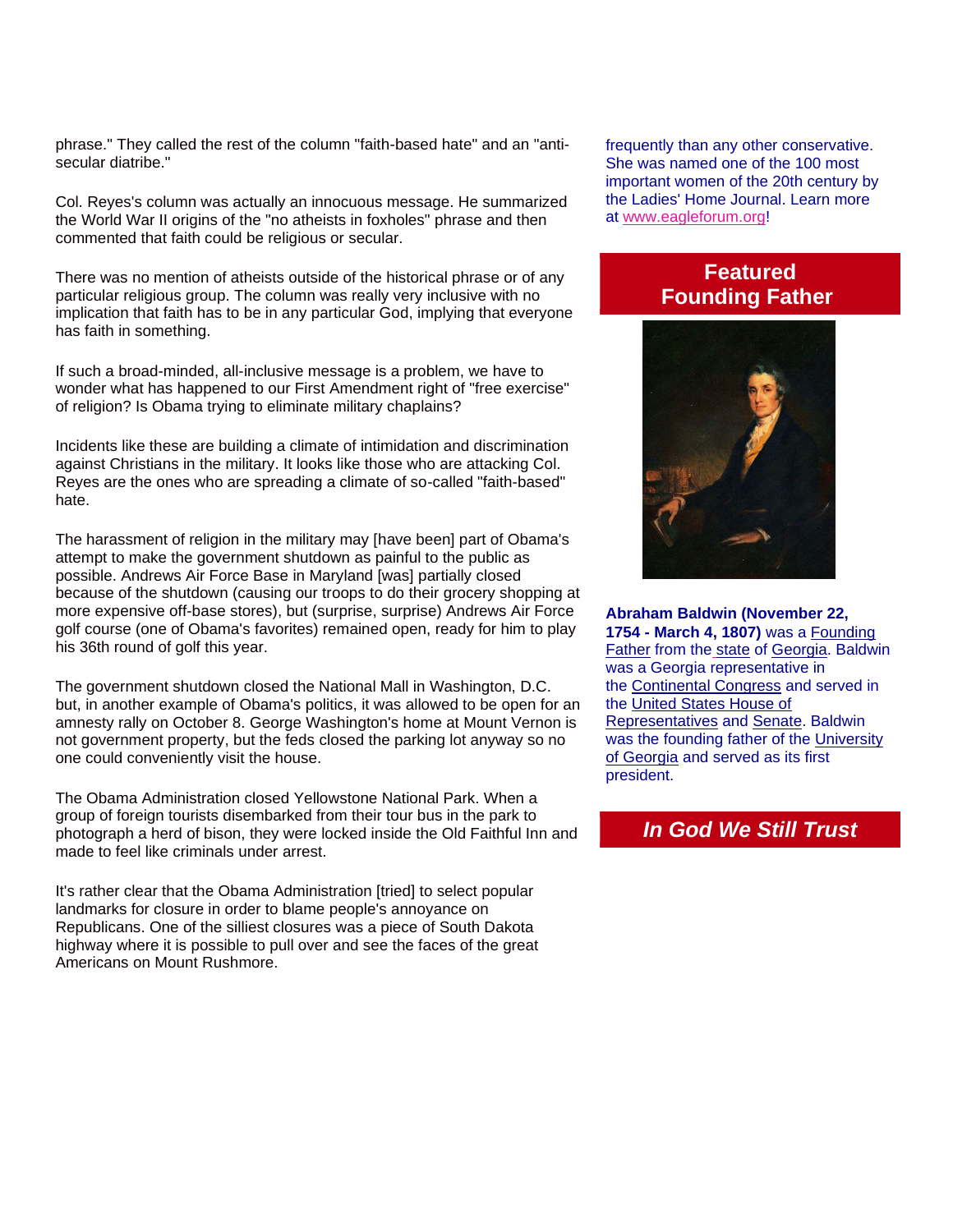phrase." They called the rest of the column "faith-based hate" and an "antisecular diatribe."

Col. Reyes's column was actually an innocuous message. He summarized the World War II origins of the "no atheists in foxholes" phrase and then commented that faith could be religious or secular.

There was no mention of atheists outside of the historical phrase or of any particular religious group. The column was really very inclusive with no implication that faith has to be in any particular God, implying that everyone has faith in something.

If such a broad-minded, all-inclusive message is a problem, we have to wonder what has happened to our First Amendment right of "free exercise" of religion? Is Obama trying to eliminate military chaplains?

Incidents like these are building a climate of intimidation and discrimination against Christians in the military. It looks like those who are attacking Col. Reyes are the ones who are spreading a climate of so-called "faith-based" hate.

The harassment of religion in the military may [have been] part of Obama's attempt to make the government shutdown as painful to the public as possible. Andrews Air Force Base in Maryland [was] partially closed because of the shutdown (causing our troops to do their grocery shopping at more expensive off-base stores), but (surprise, surprise) Andrews Air Force golf course (one of Obama's favorites) remained open, ready for him to play his 36th round of golf this year.

The government shutdown closed the National Mall in Washington, D.C. but, in another example of Obama's politics, it was allowed to be open for an amnesty rally on October 8. George Washington's home at Mount Vernon is not government property, but the feds closed the parking lot anyway so no one could conveniently visit the house.

The Obama Administration closed Yellowstone National Park. When a group of foreign tourists disembarked from their tour bus in the park to photograph a herd of bison, they were locked inside the Old Faithful Inn and made to feel like criminals under arrest.

It's rather clear that the Obama Administration [tried] to select popular landmarks for closure in order to blame people's annoyance on Republicans. One of the silliest closures was a piece of South Dakota highway where it is possible to pull over and see the faces of the great Americans on Mount Rushmore.

frequently than any other conservative. She was named one of the 100 most important women of the 20th century by the Ladies' Home Journal. Learn more at [www.eagleforum.org!](http://r20.rs6.net/tn.jsp?e=001kAz1u-qEoLFbOi77ZLPEJQR1y8piVvk7OX0qfPDpRC1umZ7nctyoW8Rj4uOw75pSzcdpyRfzRjmS6PTGuf22N0fXDzko6b4SqgYe2r_DoUI=)

## **Featured Founding Father**



**Abraham Baldwin (November 22, 1754 - March 4, 1807)** was a [Founding](http://unitetheusa.org/id104.html)  [Father](http://unitetheusa.org/id104.html) from the [state](http://unitetheusa.org/id104.html) of [Georgia.](http://unitetheusa.org/id104.html) Baldwin was a Georgia representative in the [Continental Congress](http://unitetheusa.org/id104.html) and served in the [United States House of](http://unitetheusa.org/id104.html)  [Representatives](http://unitetheusa.org/id104.html) and [Senate.](http://unitetheusa.org/id104.html) Baldwin was the founding father of the [University](http://unitetheusa.org/id104.html)  [of Georgia](http://unitetheusa.org/id104.html) and served as its first president.

# *In God We Still Trust*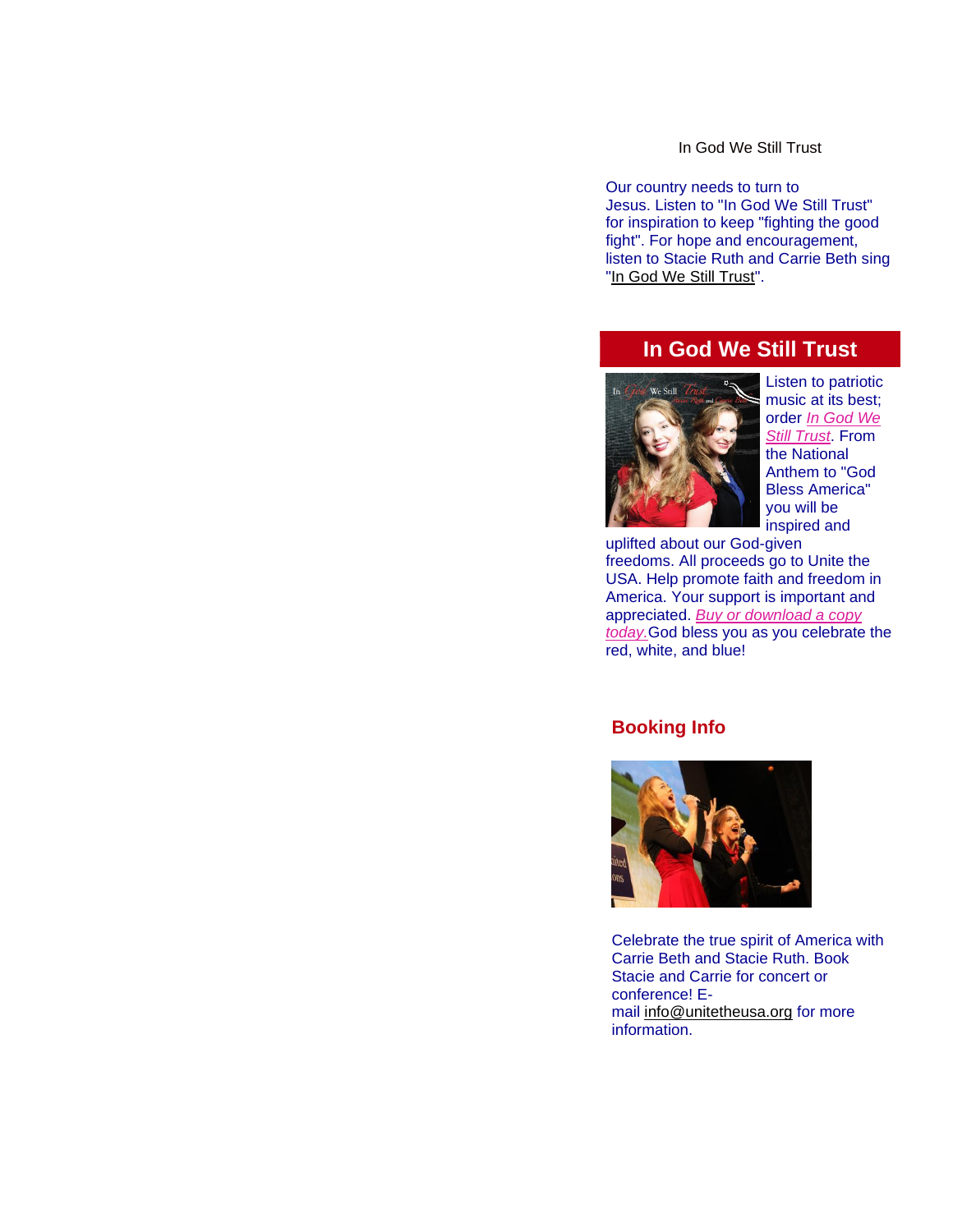In God We Still Trust

Our country needs to turn to Jesus. Listen to "In God We Still Trust" for inspiration to keep "fighting the good fight". For hope and encouragement, listen to Stacie Ruth and Carrie Beth sing ["In God We Still Trust"](http://www.youtube.com/watch?v=AJpSmePSi3c).

# **In God We Still Trust**



Listen to patriotic music at its best; order *[In God We](http://unitetheusa.org/id56.html)  [Still Trust](http://unitetheusa.org/id56.html)*. From the National Anthem to "God Bless America" you will be inspired and

uplifted about our God-given freedoms. All proceeds go to Unite the USA. Help promote faith and freedom in America. Your support is important and appreciated. *[Buy or download a copy](http://unitetheusa.org/id56.html)  [today.](http://unitetheusa.org/id56.html)*God bless you as you celebrate the red, white, and blue!

#### **Booking Info**



Celebrate the true spirit of America with Carrie Beth and Stacie Ruth. Book Stacie and Carrie for concert or conference! Email [info@unitetheusa.org](mailto:info@unitetheusa.org) for more information.